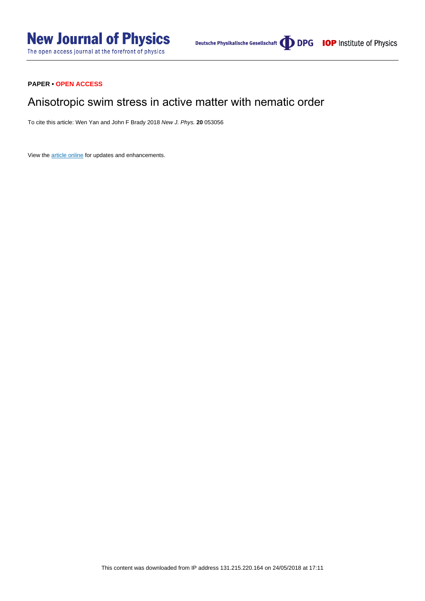### **PAPER • OPEN ACCESS**

# Anisotropic swim stress in active matter with nematic order

To cite this article: Wen Yan and John F Brady 2018 New J. Phys. **20** 053056

View the [article online](https://doi.org/10.1088/1367-2630/aac3c5) for updates and enhancements.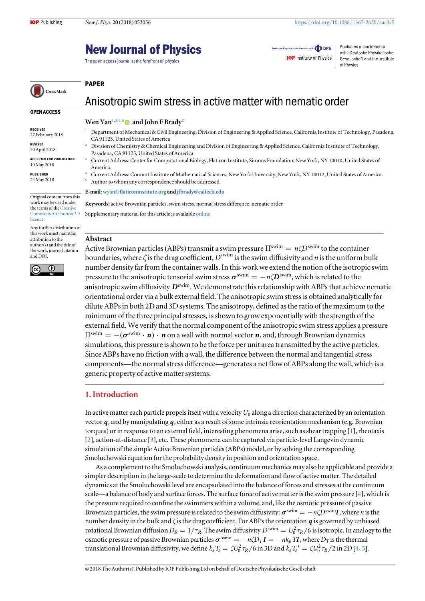OPEN ACCESS

CrossMark

Original content from this work may be used under the terms of the [Creative](http://creativecommons.org/licenses/by/3.0) [Commons Attribution 3.0](http://creativecommons.org/licenses/by/3.0)

Any further distribution of this work must maintain attribution to the author(s) and the title of the work, journal citation

 $\overline{\odot}$ 

RECEIVED 27 February 2018 REVISED 30 April 2018 ACCEPTED FOR PUBLICATION 10 May 2018 PUBLISHED 24 May 2018

**licence** 

and DOI.

(cc

# **New Journal of Physics**

The open access journal at the forefront of physics

Deutsche Physikalische Gesellschaft **ODPG IOP** Institute of Physics

Published in partnership with: Deutsche Physikalische Gesellschaft and the Institute of Physics

#### PAPER

### Anisotropic swim stress in active matter with nematic order

#### Wen Yan<sup>1,3,4,5</sup> and John F Brady<sup>2</sup>

- <sup>1</sup> Department of Mechanical & Civil Engineering, Division of Engineering & Applied Science, California Institute of Technology, Pasadena, CA 91125, United States of America
- <sup>2</sup> Division of Chemistry & Chemical Engineering and Division of Engineering & Applied Science, California Institute of Technology, Pasadena, CA 91125, United States of America
- <sup>3</sup> Current Address: Center for Computational Biology, Flatiron Institute, Simons Foundation, New York, NY 10010, United States of America.
- <sup>4</sup> Current Address: Courant Institute of Mathematical Sciences, New York University, New York, NY 10012, United States of America. <sup>5</sup> Author to whom any correspondence should be addressed.

E-mail:wyan@fl[atironinstitute.org](mailto:wyan@flatironinstitute.org) and [jfbrady@caltech.edu](mailto:jfbrady@caltech.edu)

Keywords: active Brownian particles, swim stress, normal stress difference, nematic order Supplementary material for this article is available [online](https://doi.org/10.1088/1367-2630/aac3c5)

#### Abstract

Active Brownian particles (ABPs) transmit a swim pressure  $\Pi^{\text{swim}} = n \zeta D^{\text{swim}}$  to the container boundaries, where  $\zeta$  is the drag coefficient,  $D^{\text{swim}}$  is the swim diffusivity and n is the uniform bulk number density far from the container walls. In this work we extend the notion of the isotropic swim pressure to the anisotropic tensorial swim stress  $\sigma^{\text{swim}} = -n\zeta D^{\text{swim}}$ , which is related to the anisotropic swim diffusivity  $D^{\text{swim}}$ . We demonstrate this relationship with ABPs that achieve nematic orientational order via a bulk external field. The anisotropic swim stress is obtained analytically for dilute ABPs in both 2D and 3D systems. The anisotropy, defined as the ratio of the maximum to the minimum of the three principal stresses, is shown to grow exponentially with the strength of the external field. We verify that the normal component of the anisotropic swim stress applies a pressure  $\Pi^{\text{swim}} = -(\sigma^{\text{swim}} \cdot \mathbf{n}) \cdot \mathbf{n}$  on a wall with normal vector  $\mathbf{n}$ , and, through Brownian dynamics simulations, this pressure is shown to be the force per unit area transmitted by the active particles. Since ABPs have no friction with a wall, the difference between the normal and tangential stress components—the normal stress difference—generates a net flow of ABPs along the wall, which is a generic property of active matter systems.

#### 1. Introduction

In active matter each particle propels itself with a velocity  $U_0$  along a direction characterized by an orientation vector *q*, and by manipulating *q*, either as a result of some intrinsic reorientation mechanism (e.g. Brownian torques) or in response to an external field, interesting phenomena arise, such as shear trapping [[1](#page-6-0)], rheotaxis [[2](#page-6-0)], action-at-distance [[3](#page-6-0)], etc. These phenomena can be captured via particle-level Langevin dynamic simulation of the simple Active Brownian particles(ABPs) model, or by solving the corresponding Smoluchowski equation for the probability density in position and orientation space.

As a complement to the Smoluchowski analysis, continuum mechanics may also be applicable and provide a simpler description in the large-scale to determine the deformation and flow of active matter. The detailed dynamics at the Smoluchowski level are encapsulated into the balance of forces and stresses at the continuum scale—a balance of body and surface forces. The surface force of active matter is the swim pressure [[4](#page-6-0)], which is the pressure required to confine the swimmers within a volume, and, like the osmotic pressure of passive Brownian particles, the swim pressure is related to the swim diffusivity:  $\sigma^{\text{swim}} = -n\mathcal{D}^{\text{swim}}I$ , where *n* is the number density in the bulk and ζ is the drag coefficient. For ABPs the orientation *q* is governed by unbiased rotational Brownian diffusion  $D_R=1/\tau_R$ . The swim diffusivity  $D^{\rm swim}=U_0^2\tau_R/6$  is isotropic. In analogy to the osmotic pressure of passive Brownian particles  $\sigma^{\text{osmo}} = -n \zeta D_T I = -nk_B TI$ , where  $D_T$  is the thermal translational Brownian diffusivity, we define  $k_s T_s = \zeta U_0^2 \tau_R / 6$  in 3D and  $k_s T_s' = \zeta U_0^2 \tau_R / 2$  in 2D [[4,](#page-6-0) [5](#page-6-0)].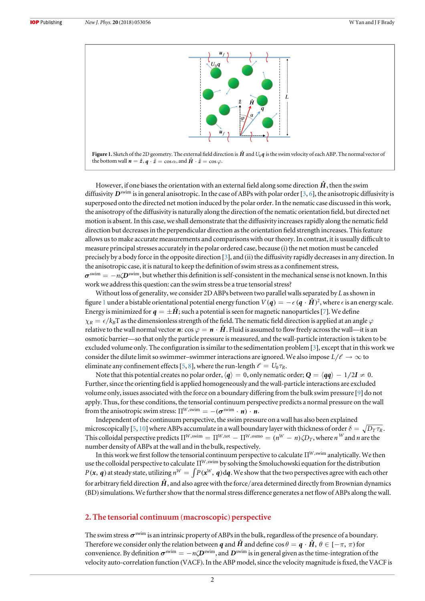<span id="page-2-0"></span>



However, if one biases the orientation with an external field along some direction  $\hat{H}$ , then the swim diffusivity  $D^{\text{swim}}$  is in general anisotropic. In the case of ABPs with polar order [[3,](#page-6-0) [6](#page-6-0)], the anisotropic diffusivity is superposed onto the directed net motion induced by the polar order. In the nematic case discussed in this work, the anisotropy of the diffusivity is naturally along the direction of the nematic orientation field, but directed net motion is absent. In this case, we shall demonstrate that the diffusivity increases rapidly along the nematic field direction but decreases in the perpendicular direction as the orientation field strength increases. This feature allows us to make accurate measurements and comparisons with our theory. In contrast, it is usually difficult to measure principal stresses accurately in the polar ordered case, because (i) the net motion must be canceled precisely by a body force in the opposite direction [[3](#page-6-0)], and (ii) the diffusivity rapidly decreases in any direction. In the anisotropic case, it is natural to keep the definition of swim stress as a confinement stress,  $\sigma^{\text{swim}} = -n\zeta D^{\text{swim}}$ , but whether this definition is self-consistent in the mechanical sense is not known. In this work we address this question: can the swim stress be a true tensorial stress?

Without loss of generality, we consider 2D ABPs between two parallel walls separated by L as shown in figure 1 under a bistable orientational potential energy function  $V(q) = -\epsilon (q \cdot \hat{H})^2$ , where  $\epsilon$  is an energy scale. Energy is minimized for  $q = \pm \hat{H}$ ; such a potential is seen for magnetic nanoparticles [[7](#page-6-0)]. We define  $\chi_R = \epsilon/k_B$ T as the dimensionless strength of the field. The nematic field direction is applied at an angle  $\varphi$ relative to the wall normal vector  $\bm{n}$ :  $\cos \varphi = \bm{n} \cdot \hat{\bm{H}}$ . Fluid is assumed to flow freely across the wall—it is an osmotic barrier—so that only the particle pressure is measured, and the wall-particle interaction is taken to be excluded volume only. The configuration is similar to the sedimentation problem [[3](#page-6-0)], except that in this work we consider the dilute limit so swimmer–swimmer interactions are ignored. We also impose  $L/\ell \to \infty$  to eliminate any confinement effects [[5](#page-6-0), [8](#page-6-0)], where the run-length  $\ell = U_0 \tau_R$ .

Note that this potential creates no polar order,  $\langle q \rangle = 0$ , only nematic order;  $Q = \langle qq \rangle - 1/2I \neq 0$ . Further, since the orienting field is applied homogeneously and the wall-particle interactions are excluded volume only, issues associated with the force on a boundary differing from the bulk swim pressure [[9](#page-7-0)] do not apply. Thus, for these conditions, the tensorial continuum perspective predicts a normal pressure on the wall from the anisotropic swim stress:  $\Pi^{W,\text{swim}} = -(\boldsymbol{\sigma}^{\text{swim}} \cdot \boldsymbol{n}) \cdot \boldsymbol{n}$ .

Independent of the continuum perspective, the swim pressure on a wall has also been explained microscopically [[5,](#page-6-0) [10](#page-7-0)] where ABPs accumulate in a wall boundary layer with thickness of order  $\delta = \sqrt{D_T \tau_R}$ . This colloidal perspective predicts  $\Pi^{W,\text{swim}}=\Pi^{W,\text{tot}}-\Pi^{W,\text{osmo}}=(n^W-n)\zeta D_T,$  where  $n^W$  and  $n$  are the number density of ABPs at the wall and in the bulk, respectively.

In this work we first follow the tensorial continuum perspective to calculate  $\Pi^{W,\text{swim}}$  analytically. We then use the colloidal perspective to calculate  $\Pi^{W,\text{swim}}$  by solving the Smoluchowski equation for the distribution  $P(x, q)$  at steady state, utilizing  $n^W = \int P(x^W, q) dq$ . We show that the two perspectives agree with each other for arbitrary field direction  $\hat{H}$ , and also agree with the force/area determined directly from Brownian dynamics (BD)simulations. We further show that the normal stress difference generates a net flow of ABPs along the wall.

#### 2. The tensorial continuum (macroscopic) perspective

The swim stress  $\sigma^{\text{swim}}$  is an intrinsic property of ABPs in the bulk, regardless of the presence of a boundary. Therefore we consider only the relation between *q* and  $\hat{H}$  and define  $\cos \theta = q \cdot \hat{H}$ ,  $\theta \in [-\pi, \pi)$  for convenience. By definition  $\sigma^{\text{swim}} = -n\zeta D^{\text{swim}}$ , and  $D^{\text{swim}}$  is in general given as the time-integration of the velocity auto-correlation function (VACF). In the ABP model, since the velocity magnitude is fixed, the VACF is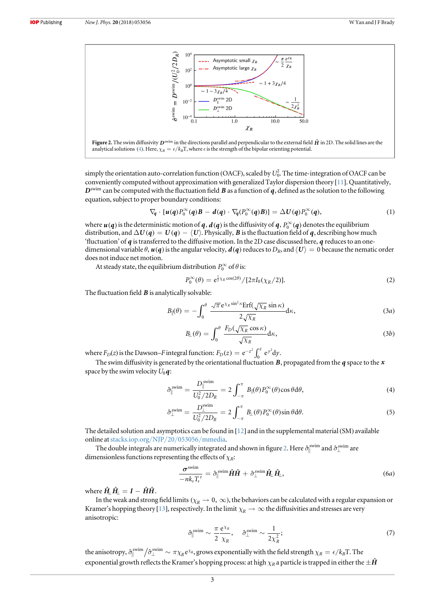<span id="page-3-0"></span>



simply the orientation auto-correlation function (OACF), scaled by  $U_0^2$ . The time-integration of OACF can be conveniently computed without approximation with generalized Taylor dispersion theory [[11](#page-7-0)]. Quantitatively, *D*swim can be computed with the fluctuation field *B* as a function of *q*, defined as the solution to the following equation, subject to proper boundary conditions:

$$
\nabla_{\!q} \cdot [u(q)P_0^{\infty}(q)B - d(q) \cdot \nabla_{\!q}(P_0^{\infty}(q)B)] = \Delta U(q)P_0^{\infty}(q), \qquad (1)
$$

where  $u(q)$  is the deterministic motion of *q*,  $d(q)$  is the diffusivity of *q*,  $P_0^{\infty}(q)$  denotes the equilibrium distribution, and  $\Delta U(q) = U(q) - \langle U \rangle$ . Physically, *B* is the fluctuation field of *q*, describing how much 'fluctuation' of *q* is transferred to the diffusive motion. In the 2D case discussed here, *q* reduces to an onedimensional variable  $\theta$ ,  $u(q)$  is the angular velocity,  $d(q)$  reduces to  $D_R$ , and  $\langle U \rangle = 0$  because the nematic order does not induce net motion.

At steady state, the equilibrium distribution  $P_0^\infty$  of  $\theta$  is:

$$
P_0^{\infty}(\theta) = e^{\frac{1}{2}\chi_R \cos(2\theta)} / [2\pi I_0(\chi_R/2)].
$$
\n(2)

The fluctuation field *B* is analytically solvable:

$$
B_{\parallel}(\theta) = -\int_0^{\theta} \frac{\sqrt{\pi} e^{\chi_R \sin^2 \kappa} \text{Erf}(\sqrt{\chi_R} \sin \kappa)}{2\sqrt{\chi_R}} d\kappa,
$$
 (3*a*)

$$
B_{\perp}(\theta) = \int_0^{\theta} \frac{F_D(\sqrt{\chi_R} \cos \kappa)}{\sqrt{\chi_R}} d\kappa,
$$
 (3b)

where  $F_D(z)$  is the Dawson–F integral function:  $F_D(z) = e^{-z^2} \int_0^z e^{y^2} dy$  $\int_{0}^{z} e^{y^2} dy$ .

The swim diffusivity is generated by the orientational fluctuation *B*, propagated from the *q* space to the *x* space by the swim velocity  $U_0 q$ :

$$
\hat{\sigma}_{\parallel}^{\text{swim}} = \frac{D_{\parallel}^{\text{swim}}}{U_0^2/2D_R} = 2 \int_{-\pi}^{\pi} B_{\parallel}(\theta) P_0^{\infty}(\theta) \cos \theta \, d\theta, \tag{4}
$$

$$
\hat{\sigma}_{\perp}^{\text{swim}} = \frac{D_{\perp}^{\text{swim}}}{U_0^2/2D_R} = 2 \int_{-\pi}^{\pi} B_{\perp}(\theta) P_0^{\infty}(\theta) \sin \theta \, d\theta. \tag{5}
$$

The detailed solution and asymptotics can be found in  $[12]$  $[12]$  $[12]$  and in the supplemental material (SM) available online at[stacks.iop.org](http://stacks.iop.org/NJP/20/053056/mmedia)/NJP/20/053056/mmedia.

The double integrals are numerically integrated and shown in figure 2. Here  $\hat{\sigma}^{\rm swim}_{\parallel}$  and  $\hat{\sigma}^{\rm swim}_{\perp}$  are dimensionless functions representing the effects of  $\chi_R$ :

$$
\frac{\boldsymbol{\sigma}^{\text{swim}}}{-nk_sT_s'} = \partial_{\parallel}^{\text{swim}}\hat{\boldsymbol{H}}\hat{\boldsymbol{H}} + \partial_{\perp}^{\text{swim}}\hat{\boldsymbol{H}}_{\perp}\hat{\boldsymbol{H}}_{\perp},
$$
\n(6a)

where  $\hat{H}_{\parallel} \hat{H}_{\parallel} = I - \hat{H}\hat{H}$ .

In the weak and strong field limits ( $\chi_R \to 0$ ,  $\infty$ ), the behaviors can be calculated with a regular expansion or Kramer's hopping theory [[13](#page-7-0)], respectively. In the limit  $\chi_R \to \infty$  the diffusivities and stresses are very anisotropic:

$$
\hat{\sigma}_{\parallel}^{\text{swim}} \sim \frac{\pi}{2} \frac{e^{\chi_R}}{\chi_R}, \quad \hat{\sigma}_{\perp}^{\text{swim}} \sim \frac{1}{2\chi_R^2};\tag{7}
$$

the anisotropy,  $\hat{\sigma}_{\parallel}^{\rm swim}/\hat{\sigma}_{\perp}^{\rm swim} \sim \pi \chi_R$ e $^{ \chi_R}$ , grows exponentially with the field strength  $\chi_R = \epsilon/k_B$ T. The exponential growth reflects the Kramer's hopping process: at high  $\chi_R$  a particle is trapped in either the  $\pm \hat{H}$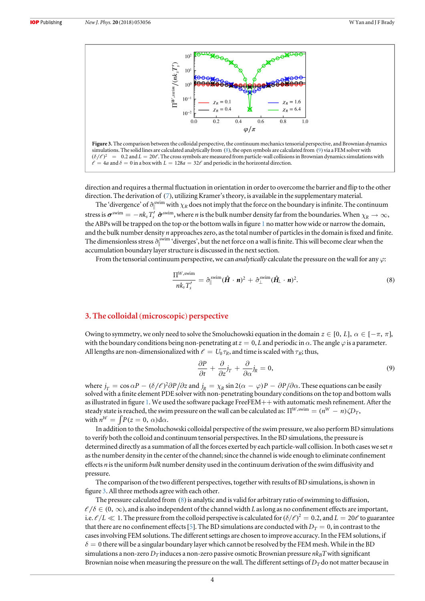<span id="page-4-0"></span>



direction and requires a thermal fluctuation in orientation in order to overcome the barrier and flip to the other direction. The derivation of ([7](#page-3-0)), utilizing Kramer's theory, is available in the supplementary material.

The 'divergence' of  $\hat{\sigma}_{\parallel}^{swim}$  with  $\chi_R$  does not imply that the force on the boundary is infinite. The continuum stress is  $\sigma^{swin} = -nk_s T_s' \hat{\sigma}^{swin}$ , where *n* is the bulk number density far from the boundaries. When  $\chi_R \to \infty$ , the ABPs will be trapped on the top or the bottom walls in figure [1](#page-2-0) no matter how wide or narrow the domain, and the bulk number density *n* approaches zero, as the total number of particles in the domain is fixed and finite. The dimensionless stress  $\hat{\sigma}_{\parallel}^{\text{swim}}$  'diverges', but the net force on a wall is finite. This will become clear when the accumulation boundary layer structure is discussed in the next section.

From the tensorial continuum perspective, we can *analytically* calculate the pressure on the wall for any  $\varphi$ :

$$
\frac{\Pi^{W,\text{swim}}}{nk_sT_s'} = \hat{\sigma}_{\parallel}^{\text{swim}}(\hat{\boldsymbol{H}} \cdot \boldsymbol{n})^2 + \hat{\sigma}_{\perp}^{\text{swim}}(\hat{\boldsymbol{H}}_{\perp} \cdot \boldsymbol{n})^2.
$$
\n(8)

#### 3. The colloidal (microscopic) perspective

Owing to symmetry, we only need to solve the Smoluchowski equation in the domain  $z \in [0, L]$ ,  $\alpha \in [-\pi, \pi]$ , with the boundary conditions being non-penetrating at  $z = 0$ , L and periodic in  $\alpha$ . The angle  $\varphi$  is a parameter. All lengths are non-dimensionalized with  $\ell = U_0 \tau_R$ , and time is scaled with  $\tau_R$ ; thus,

$$
\frac{\partial P}{\partial t} + \frac{\partial}{\partial z} j_T + \frac{\partial}{\partial \alpha} j_R = 0, \tag{9}
$$

where  $j_T = \cos \alpha P - (\delta/\ell)^2 \partial P/\partial z$  and  $j_R = \chi_R \sin 2(\alpha - \varphi)P - \partial P/\partial \alpha$ . These equations can be easily solved with a finite element PDE solver with non-penetrating boundary conditions on the top and bottom walls as illustrated in figure [1.](#page-2-0) We used the software package FreeFEM++ with automatic mesh refinement. After the steady state is reached, the swim pressure on the wall can be calculated as:  $\Pi^{W,\text{swim}}=(n^W-n)\zeta\!D_T,$ with  $n^W = \int P(z=0, \alpha) d\alpha$ .

In addition to the Smoluchowski colloidal perspective of the swim pressure, we also perform BD simulations to verify both the colloid and continuum tensorial perspectives. In the BD simulations, the pressure is determined directly as a summation of all the forces exerted by each particle-wall collision. In both cases we set  $n$ as the number density in the center of the channel; since the channel is wide enough to eliminate confinement effects n is the uniform bulk number density used in the continuum derivation of the swim diffusivity and pressure.

The comparison of the two different perspectives, together with results of BD simulations, is shown in figure 3. All three methods agree with each other.

The pressure calculated from (8) is analytic and is valid for arbitrary ratio of swimming to diffusion,  $\ell/\delta \in (0, \infty)$ , and is also independent of the channel width L as long as no confinement effects are important, i.e.  $\ell/L \ll 1$ . The pressure from the colloid perspective is calculated for ( $\delta/\ell$ )<sup>2</sup> = 0.2, and  $L = 20\ell$  to guarantee that there are no confinement effects [[5](#page-6-0)]. The BD simulations are conducted with  $D_T = 0$ , in contrast to the cases involving FEM solutions. The different settings are chosen to improve accuracy. In the FEM solutions, if  $\delta = 0$  there will be a singular boundary layer which cannot be resolved by the FEM mesh. While in the BD simulations a non-zero  $D_T$  induces a non-zero passive osmotic Brownian pressure  $nk_BT$  with significant Brownian noise when measuring the pressure on the wall. The different settings of  $D<sub>T</sub>$  do not matter because in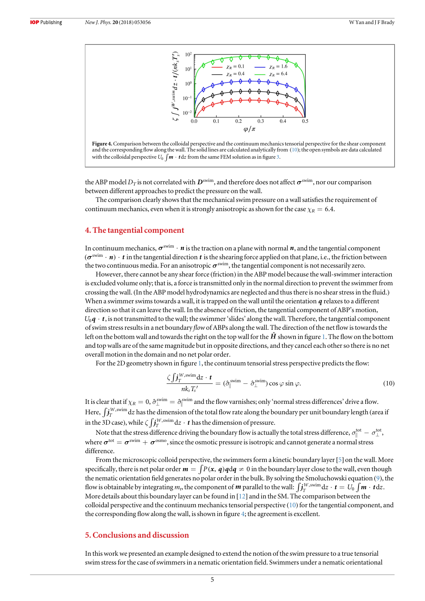



the ABP model  $D_T$  is not correlated with  $D^{\text{swim}}$ , and therefore does not affect  $\sigma^{\text{swim}}$ , nor our comparison between different approaches to predict the pressure on the wall.

The comparison clearly shows that the mechanical swim pressure on a wall satisfies the requirement of continuum mechanics, even when it is strongly anisotropic as shown for the case  $\chi_R = 6.4$ .

#### 4. The tangential component

In continuum mechanics,  $\sigma^{\text{swim}} \cdot n$  is the traction on a plane with normal *n*, and the tangential component  $(\sigma^{\text{swim}} \cdot n) \cdot t$  in the tangential direction  $t$  is the shearing force applied on that plane, i.e., the friction between the two continuous media. For an anisotropic  $\sigma^{\text{swim}}$ , the tangential component is not necessarily zero.

However, there cannot be any shear force (friction) in the ABP model because the wall-swimmer interaction is excluded volume only; that is, a force is transmitted only in the normal direction to prevent the swimmer from crossing the wall.(In the ABP model hydrodynamics are neglected and thus there is no shear stress in the fluid.) When a swimmer swims towards a wall, it is trapped on the wall until the orientation *q* relaxes to a different direction so that it can leave the wall. In the absence of friction, the tangential component of ABP's motion,  $U_0 q \cdot t$ , is not transmitted to the wall; the swimmer 'slides' along the wall. Therefore, the tangential component of swim stress results in a net boundary flowof ABPs along the wall. The direction of the net flow is towards the left on the bottom wall and towards the right on the top wall for the  $\hat{H}$  shown in figure [1.](#page-2-0) The flow on the bottom and top walls are of the same magnitude but in opposite directions, and they cancel each other so there is no net overall motion in the domain and no net polar order.

For the 2D geometry shown in figure [1](#page-2-0), the continuum tensorial stress perspective predicts the flow:

$$
\frac{\zeta \int \mathbf{j}_{T}^{W,\text{swim}} \mathrm{d}z \cdot \mathbf{t}}{nk_s T_s'} = (\hat{\sigma}_{\parallel}^{\text{swim}} - \hat{\sigma}_{\perp}^{\text{swim}}) \cos \varphi \sin \varphi. \tag{10}
$$

It is clear that if  $\chi_R = 0$ ,  $\hat{\sigma}_{\parallel}^{\text{swim}} = \hat{\sigma}_{\parallel}^{\text{swim}}$  and the flow varnishes; only 'normal stress differences' drive a flow. Here,  $\int\!j_T^{W,\text{swim}}\mathrm{d}z$  has the dimension of the total flow rate along the boundary per unit boundary length (area if in the 3D case), while  $\zeta \int J_T^{W,\text{swim}} \text{d}z \cdot t$  has the dimension of pressure.

Note that the stress difference driving the boundary flow is actually the total stress difference,  $\sigma_{\parallel}^{\text{tot}} - \sigma_{\perp}^{\text{tot}}$ , where  $\sigma^{\rm tot} = \sigma^{\rm swim} + \sigma^{\rm osmo}$ , since the osmotic pressure is isotropic and cannot generate a normal stress difference.

From the microscopic colloid perspective, the swimmers form a kinetic boundary layer [[5](#page-6-0)] on the wall. More specifically, there is net polar order  $m = \int P(x, q) dq \neq 0$  in the boundary layer close to the wall, even though the nematic orientation field generates no polar order in the bulk. By solving the Smoluchowski equation ([9](#page-4-0)), the flow is obtainable by integrating  $m_b$  the component of  $\bm{m}$  parallel to the wall:  $\int \! j_T^{W,\text{swim}} \mathrm{d}z \cdot \bm{t} = U_0 \int \! \bm{m} \cdot \bm{t} \mathrm{d}z.$ More details about this boundary layer can be found in  $[12]$  $[12]$  $[12]$  and in the SM. The comparison between the colloidal perspective and the continuum mechanics tensorial perspective (10) for the tangential component, and the corresponding flow along the wall, is shown in figure 4; the agreement is excellent.

#### 5. Conclusions and discussion

In this work we presented an example designed to extend the notion of the swim pressure to a true tensorial swim stress for the case of swimmers in a nematic orientation field. Swimmers under a nematic orientational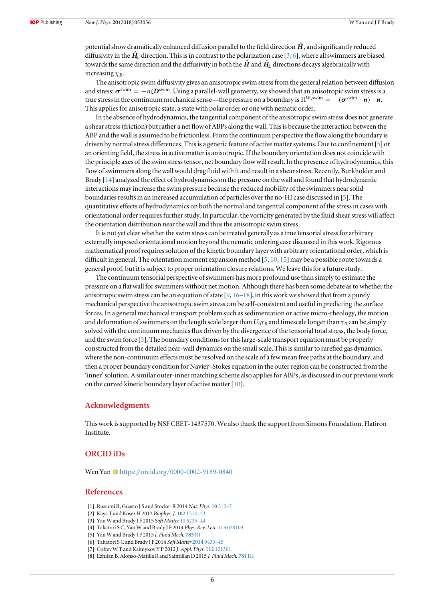<span id="page-6-0"></span>potential show dramatically enhanced diffusion parallel to the field direction  $\hat{H}$ , and significantly reduced diffusivity in the  $H<sub>1</sub>$  direction. This is in contrast to the polarization case [3, 6], where all swimmers are biased towards the same direction and the diffusivity in both the  $\hat{H}$  and  $\hat{H}$ <sup> $\hat{H}$ </sup> directions decays algebraically with increasing  $\chi_R$ .

The anisotropic swim diffusivity gives an anisotropic swim stress from the general relation between diffusion and stress:  $\sigma^{\text{swim}} = -n\mathcal{D}^{\text{swim}}$ . Using a parallel-wall geometry, we showed that an anisotropic swim stress is a true stress in the continuum mechanical sense—the pressure on a boundary is  $\Pi^{W,\text{swim}} = -(\sigma^{\text{swim}} \cdot \mathbf{n}) \cdot \mathbf{n}$ . This applies for anisotropic state, a state with polar order or one with nematic order.

In the absence of hydrodynamics, the tangential component of the anisotropic swim stress does not generate a shear stress(friction) but rather a net flow of ABPs along the wall. This is because the interaction between the ABP and the wall is assumed to be frictionless. From the continuum perspective the flow along the boundary is driven by normal stress differences. This is a generic feature of active matter systems. Due to confinement [5] or an orienting field, the stress in active matter is anisotropic. If the boundary orientation does not coincide with the principle axes of the swim stress tensor, net boundary flow will result. In the presence of hydrodynamics, this flow of swimmers along the wall would drag fluid with it and result in a shear stress. Recently, Burkholder and Brady [[14](#page-7-0)] analyzed the effect of hydrodynamics on the pressure on the wall and found that hydrodynamic interactions may increase the swim pressure because the reduced mobility of the swimmers near solid boundaries results in an increased accumulation of particles over the no-HI case discussed in [5]. The quantitative effects of hydrodynamics on both the normal and tangential component of the stress in cases with orientational order requires further study. In particular, the vorticity generated by the fluid shear stress will affect the orientation distribution near the wall and thus the anisotropic swim stress.

It is not yet clear whether the swim stress can be treated generally as a true tensorial stress for arbitrary externally imposed orientational motion beyond the nematic ordering case discussed in this work. Rigorous mathematical proof requires solution of the kinetic boundary layer with arbitrary orientational order, which is difficult in general. The orientation moment expansion method [5, [10](#page-7-0), [15](#page-7-0)] may be a possible route towards a general proof, but it is subject to proper orientation closure relations. We leave this for a future study.

The continuum tensorial perspective of swimmers has more profound use than simply to estimate the pressure on a flat wall for swimmers without net motion. Although there has been some debate as to whether the anisotropic swim stress can be an equation of state  $[9, 16–18]$  $[9, 16–18]$  $[9, 16–18]$  $[9, 16–18]$  $[9, 16–18]$  $[9, 16–18]$  $[9, 16–18]$ , in this work we showed that from a purely mechanical perspective the anisotropic swim stress can be self-consistent and useful in predicting the surface forces. In a general mechanical transport problem such as sedimentation or active micro-rheology, the motion and deformation of swimmers on the length scale larger than  $U_0\tau_R$  and timescale longer than  $\tau_R$  can be simply solved with the continuum mechanics flux driven by the divergence of the tensorial total stress, the body force, and the swim force [3]. The boundary conditions for this large-scale transport equation must be properly constructed from the detailed near-wall dynamics on the small scale. This is similar to rarefied gas dynamics, where the non-continuum effects must be resolved on the scale of a few mean free paths at the boundary, and then a proper boundary condition for Navier–Stokes equation in the outer region can be constructed from the 'inner'solution. A similar outer-inner matching scheme also applies for ABPs, as discussed in our previous work on the curved kinetic boundary layer of active matter[[10](#page-7-0)].

#### Acknowledgments

This work is supported by NSF CBET-1437570. We also thank the support from Simons Foundation, Flatiron Institute.

#### ORCID iDs

We[n](https://orcid.org/0000-0002-9189-0840) Yan @ [https:](https://orcid.org/0000-0002-9189-0840)//orcid.org/[0000-0002-9189-0840](https://orcid.org/0000-0002-9189-0840)

#### References

- [1] Rusconi R, Guasto J S and Stocker R 2014 Nat. Phys. 10 [212](https://doi.org/10.1038/nphys2883)–7
- [2] Kaya T and Koser H 2012 Biophys. J. 102 [1514](https://doi.org/10.1016/j.bpj.2012.03.001)–23
- [3] Yan W and Brady J F 2015 Soft Matter 11 [6235](https://doi.org/10.1039/C5SM01318F)–44
- [4] Takatori S C, Yan W and Brady J F 2014 Phys. Rev. Lett. 113 [028103](https://doi.org/10.1103/PhysRevLett.113.028103)
- [5] Yan W and Brady J F 2015 J. Fluid Mech. [785](https://doi.org/10.1017/jfm.2015.621) R1
- [6] Takatori S C and Brady J F 2014 Soft Matter [2014](https://doi.org/10.1039/C4SM01409J) 9433–45
- [7] Coffey W T and Kalmykov Y P 2012 J. Appl. Phys. 112 [121301](https://doi.org/10.1063/1.4754272)
- [8] Ezhilan B, Alonso-Matilla R and Saintillan D 2015 J. Fluid Mech. [781](https://doi.org/10.1017/jfm.2015.520) R4